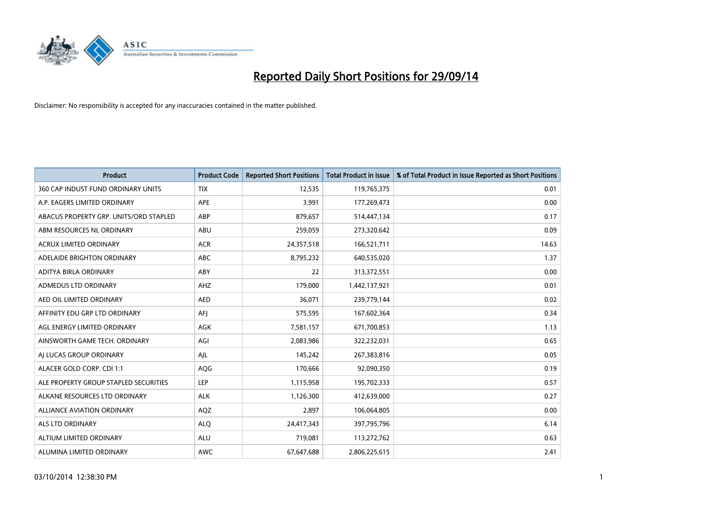

| <b>Product</b>                         | <b>Product Code</b> | <b>Reported Short Positions</b> | <b>Total Product in Issue</b> | % of Total Product in Issue Reported as Short Positions |
|----------------------------------------|---------------------|---------------------------------|-------------------------------|---------------------------------------------------------|
| 360 CAP INDUST FUND ORDINARY UNITS     | <b>TIX</b>          | 12,535                          | 119,765,375                   | 0.01                                                    |
| A.P. EAGERS LIMITED ORDINARY           | APE                 | 3,991                           | 177,269,473                   | 0.00                                                    |
| ABACUS PROPERTY GRP. UNITS/ORD STAPLED | ABP                 | 879,657                         | 514,447,134                   | 0.17                                                    |
| ABM RESOURCES NL ORDINARY              | ABU                 | 259,059                         | 273,320,642                   | 0.09                                                    |
| <b>ACRUX LIMITED ORDINARY</b>          | <b>ACR</b>          | 24,357,518                      | 166,521,711                   | 14.63                                                   |
| ADELAIDE BRIGHTON ORDINARY             | <b>ABC</b>          | 8,795,232                       | 640,535,020                   | 1.37                                                    |
| ADITYA BIRLA ORDINARY                  | ABY                 | 22                              | 313,372,551                   | 0.00                                                    |
| ADMEDUS LTD ORDINARY                   | AHZ                 | 179,000                         | 1,442,137,921                 | 0.01                                                    |
| AED OIL LIMITED ORDINARY               | <b>AED</b>          | 36,071                          | 239,779,144                   | 0.02                                                    |
| AFFINITY EDU GRP LTD ORDINARY          | AFI                 | 575,595                         | 167,602,364                   | 0.34                                                    |
| AGL ENERGY LIMITED ORDINARY            | AGK                 | 7,581,157                       | 671,700,853                   | 1.13                                                    |
| AINSWORTH GAME TECH. ORDINARY          | AGI                 | 2,083,986                       | 322,232,031                   | 0.65                                                    |
| AI LUCAS GROUP ORDINARY                | AJL                 | 145,242                         | 267,383,816                   | 0.05                                                    |
| ALACER GOLD CORP. CDI 1:1              | AQG                 | 170,666                         | 92,090,350                    | 0.19                                                    |
| ALE PROPERTY GROUP STAPLED SECURITIES  | <b>LEP</b>          | 1,115,958                       | 195,702,333                   | 0.57                                                    |
| ALKANE RESOURCES LTD ORDINARY          | <b>ALK</b>          | 1,126,300                       | 412,639,000                   | 0.27                                                    |
| ALLIANCE AVIATION ORDINARY             | AQZ                 | 2,897                           | 106,064,805                   | 0.00                                                    |
| <b>ALS LTD ORDINARY</b>                | <b>ALQ</b>          | 24,417,343                      | 397,795,796                   | 6.14                                                    |
| ALTIUM LIMITED ORDINARY                | <b>ALU</b>          | 719,081                         | 113,272,762                   | 0.63                                                    |
| ALUMINA LIMITED ORDINARY               | <b>AWC</b>          | 67,647,688                      | 2,806,225,615                 | 2.41                                                    |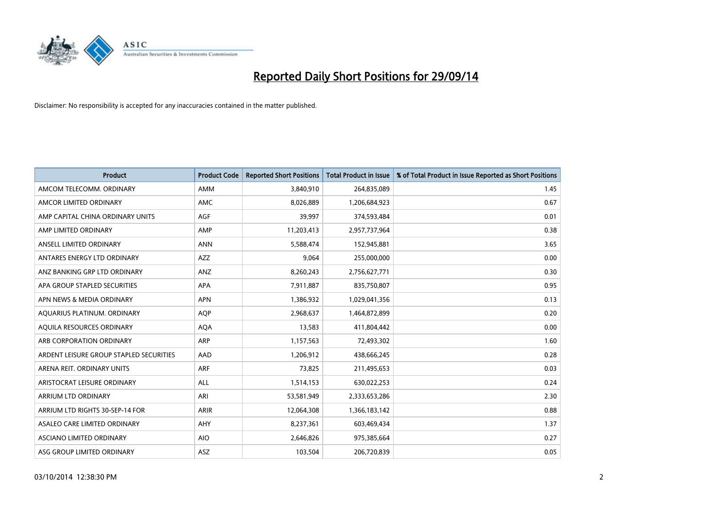

| <b>Product</b>                          | <b>Product Code</b> | <b>Reported Short Positions</b> | <b>Total Product in Issue</b> | % of Total Product in Issue Reported as Short Positions |
|-----------------------------------------|---------------------|---------------------------------|-------------------------------|---------------------------------------------------------|
| AMCOM TELECOMM, ORDINARY                | AMM                 | 3,840,910                       | 264,835,089                   | 1.45                                                    |
| AMCOR LIMITED ORDINARY                  | <b>AMC</b>          | 8,026,889                       | 1,206,684,923                 | 0.67                                                    |
| AMP CAPITAL CHINA ORDINARY UNITS        | AGF                 | 39,997                          | 374,593,484                   | 0.01                                                    |
| AMP LIMITED ORDINARY                    | AMP                 | 11,203,413                      | 2,957,737,964                 | 0.38                                                    |
| ANSELL LIMITED ORDINARY                 | <b>ANN</b>          | 5,588,474                       | 152,945,881                   | 3.65                                                    |
| ANTARES ENERGY LTD ORDINARY             | AZZ                 | 9,064                           | 255,000,000                   | 0.00                                                    |
| ANZ BANKING GRP LTD ORDINARY            | ANZ                 | 8,260,243                       | 2,756,627,771                 | 0.30                                                    |
| APA GROUP STAPLED SECURITIES            | APA                 | 7,911,887                       | 835,750,807                   | 0.95                                                    |
| APN NEWS & MEDIA ORDINARY               | <b>APN</b>          | 1,386,932                       | 1,029,041,356                 | 0.13                                                    |
| AQUARIUS PLATINUM. ORDINARY             | <b>AOP</b>          | 2,968,637                       | 1,464,872,899                 | 0.20                                                    |
| AQUILA RESOURCES ORDINARY               | <b>AQA</b>          | 13,583                          | 411,804,442                   | 0.00                                                    |
| ARB CORPORATION ORDINARY                | <b>ARP</b>          | 1,157,563                       | 72,493,302                    | 1.60                                                    |
| ARDENT LEISURE GROUP STAPLED SECURITIES | AAD                 | 1,206,912                       | 438,666,245                   | 0.28                                                    |
| ARENA REIT. ORDINARY UNITS              | <b>ARF</b>          | 73,825                          | 211,495,653                   | 0.03                                                    |
| ARISTOCRAT LEISURE ORDINARY             | <b>ALL</b>          | 1,514,153                       | 630,022,253                   | 0.24                                                    |
| ARRIUM LTD ORDINARY                     | ARI                 | 53,581,949                      | 2,333,653,286                 | 2.30                                                    |
| ARRIUM LTD RIGHTS 30-SEP-14 FOR         | ARIR                | 12,064,308                      | 1,366,183,142                 | 0.88                                                    |
| ASALEO CARE LIMITED ORDINARY            | AHY                 | 8,237,361                       | 603,469,434                   | 1.37                                                    |
| ASCIANO LIMITED ORDINARY                | <b>AIO</b>          | 2,646,826                       | 975,385,664                   | 0.27                                                    |
| ASG GROUP LIMITED ORDINARY              | ASZ                 | 103,504                         | 206,720,839                   | 0.05                                                    |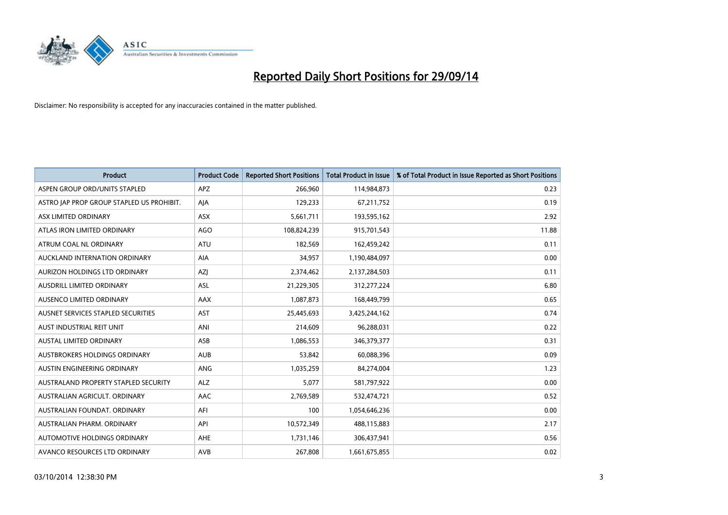

| <b>Product</b>                            | <b>Product Code</b> | <b>Reported Short Positions</b> | <b>Total Product in Issue</b> | % of Total Product in Issue Reported as Short Positions |
|-------------------------------------------|---------------------|---------------------------------|-------------------------------|---------------------------------------------------------|
| ASPEN GROUP ORD/UNITS STAPLED             | <b>APZ</b>          | 266,960                         | 114,984,873                   | 0.23                                                    |
| ASTRO JAP PROP GROUP STAPLED US PROHIBIT. | AJA                 | 129,233                         | 67,211,752                    | 0.19                                                    |
| ASX LIMITED ORDINARY                      | ASX                 | 5,661,711                       | 193,595,162                   | 2.92                                                    |
| ATLAS IRON LIMITED ORDINARY               | <b>AGO</b>          | 108,824,239                     | 915,701,543                   | 11.88                                                   |
| ATRUM COAL NL ORDINARY                    | ATU                 | 182,569                         | 162,459,242                   | 0.11                                                    |
| AUCKLAND INTERNATION ORDINARY             | <b>AIA</b>          | 34,957                          | 1,190,484,097                 | 0.00                                                    |
| AURIZON HOLDINGS LTD ORDINARY             | AZJ                 | 2,374,462                       | 2,137,284,503                 | 0.11                                                    |
| AUSDRILL LIMITED ORDINARY                 | <b>ASL</b>          | 21,229,305                      | 312,277,224                   | 6.80                                                    |
| AUSENCO LIMITED ORDINARY                  | AAX                 | 1,087,873                       | 168,449,799                   | 0.65                                                    |
| AUSNET SERVICES STAPLED SECURITIES        | <b>AST</b>          | 25,445,693                      | 3,425,244,162                 | 0.74                                                    |
| AUST INDUSTRIAL REIT UNIT                 | ANI                 | 214,609                         | 96,288,031                    | 0.22                                                    |
| <b>AUSTAL LIMITED ORDINARY</b>            | ASB                 | 1,086,553                       | 346, 379, 377                 | 0.31                                                    |
| AUSTBROKERS HOLDINGS ORDINARY             | <b>AUB</b>          | 53,842                          | 60,088,396                    | 0.09                                                    |
| AUSTIN ENGINEERING ORDINARY               | ANG                 | 1,035,259                       | 84,274,004                    | 1.23                                                    |
| AUSTRALAND PROPERTY STAPLED SECURITY      | <b>ALZ</b>          | 5,077                           | 581,797,922                   | 0.00                                                    |
| AUSTRALIAN AGRICULT, ORDINARY             | AAC                 | 2,769,589                       | 532,474,721                   | 0.52                                                    |
| AUSTRALIAN FOUNDAT. ORDINARY              | AFI                 | 100                             | 1,054,646,236                 | 0.00                                                    |
| AUSTRALIAN PHARM, ORDINARY                | API                 | 10,572,349                      | 488,115,883                   | 2.17                                                    |
| AUTOMOTIVE HOLDINGS ORDINARY              | AHE                 | 1,731,146                       | 306,437,941                   | 0.56                                                    |
| AVANCO RESOURCES LTD ORDINARY             | AVB                 | 267,808                         | 1,661,675,855                 | 0.02                                                    |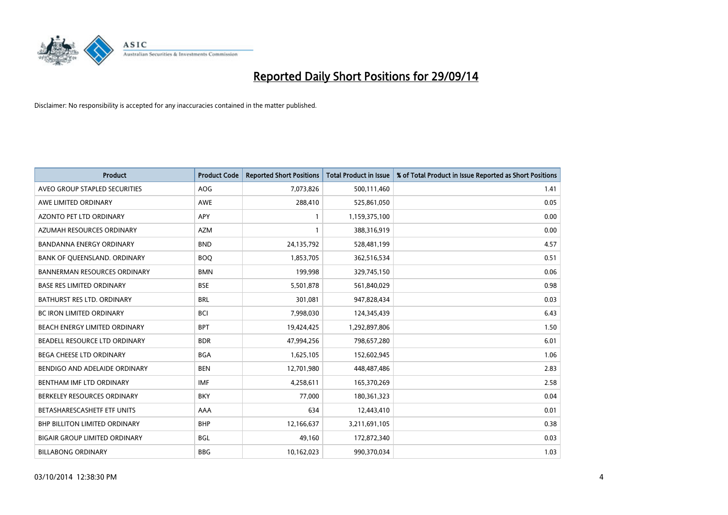

| <b>Product</b>                       | <b>Product Code</b> | <b>Reported Short Positions</b> | <b>Total Product in Issue</b> | % of Total Product in Issue Reported as Short Positions |
|--------------------------------------|---------------------|---------------------------------|-------------------------------|---------------------------------------------------------|
| AVEO GROUP STAPLED SECURITIES        | <b>AOG</b>          | 7,073,826                       | 500,111,460                   | 1.41                                                    |
| AWE LIMITED ORDINARY                 | AWE                 | 288,410                         | 525,861,050                   | 0.05                                                    |
| AZONTO PET LTD ORDINARY              | APY                 | $\mathbf{1}$                    | 1,159,375,100                 | 0.00                                                    |
| AZUMAH RESOURCES ORDINARY            | <b>AZM</b>          | $\mathbf{1}$                    | 388,316,919                   | 0.00                                                    |
| <b>BANDANNA ENERGY ORDINARY</b>      | <b>BND</b>          | 24,135,792                      | 528,481,199                   | 4.57                                                    |
| BANK OF QUEENSLAND. ORDINARY         | <b>BOO</b>          | 1,853,705                       | 362,516,534                   | 0.51                                                    |
| <b>BANNERMAN RESOURCES ORDINARY</b>  | <b>BMN</b>          | 199,998                         | 329,745,150                   | 0.06                                                    |
| <b>BASE RES LIMITED ORDINARY</b>     | <b>BSE</b>          | 5,501,878                       | 561,840,029                   | 0.98                                                    |
| BATHURST RES LTD. ORDINARY           | <b>BRL</b>          | 301,081                         | 947,828,434                   | 0.03                                                    |
| <b>BC IRON LIMITED ORDINARY</b>      | <b>BCI</b>          | 7,998,030                       | 124,345,439                   | 6.43                                                    |
| BEACH ENERGY LIMITED ORDINARY        | <b>BPT</b>          | 19,424,425                      | 1,292,897,806                 | 1.50                                                    |
| BEADELL RESOURCE LTD ORDINARY        | <b>BDR</b>          | 47,994,256                      | 798,657,280                   | 6.01                                                    |
| BEGA CHEESE LTD ORDINARY             | <b>BGA</b>          | 1,625,105                       | 152,602,945                   | 1.06                                                    |
| BENDIGO AND ADELAIDE ORDINARY        | <b>BEN</b>          | 12,701,980                      | 448,487,486                   | 2.83                                                    |
| BENTHAM IMF LTD ORDINARY             | <b>IMF</b>          | 4,258,611                       | 165,370,269                   | 2.58                                                    |
| BERKELEY RESOURCES ORDINARY          | <b>BKY</b>          | 77,000                          | 180,361,323                   | 0.04                                                    |
| BETASHARESCASHETF ETF UNITS          | AAA                 | 634                             | 12,443,410                    | 0.01                                                    |
| <b>BHP BILLITON LIMITED ORDINARY</b> | <b>BHP</b>          | 12,166,637                      | 3,211,691,105                 | 0.38                                                    |
| <b>BIGAIR GROUP LIMITED ORDINARY</b> | <b>BGL</b>          | 49,160                          | 172,872,340                   | 0.03                                                    |
| <b>BILLABONG ORDINARY</b>            | <b>BBG</b>          | 10,162,023                      | 990,370,034                   | 1.03                                                    |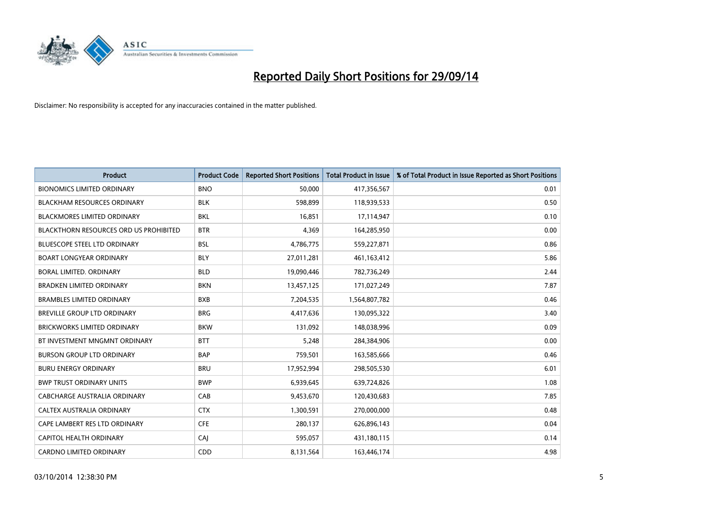

| <b>Product</b>                         | <b>Product Code</b> | <b>Reported Short Positions</b> | <b>Total Product in Issue</b> | % of Total Product in Issue Reported as Short Positions |
|----------------------------------------|---------------------|---------------------------------|-------------------------------|---------------------------------------------------------|
| <b>BIONOMICS LIMITED ORDINARY</b>      | <b>BNO</b>          | 50,000                          | 417,356,567                   | 0.01                                                    |
| <b>BLACKHAM RESOURCES ORDINARY</b>     | <b>BLK</b>          | 598,899                         | 118,939,533                   | 0.50                                                    |
| <b>BLACKMORES LIMITED ORDINARY</b>     | <b>BKL</b>          | 16,851                          | 17,114,947                    | 0.10                                                    |
| BLACKTHORN RESOURCES ORD US PROHIBITED | <b>BTR</b>          | 4,369                           | 164,285,950                   | 0.00                                                    |
| <b>BLUESCOPE STEEL LTD ORDINARY</b>    | <b>BSL</b>          | 4,786,775                       | 559,227,871                   | 0.86                                                    |
| <b>BOART LONGYEAR ORDINARY</b>         | <b>BLY</b>          | 27,011,281                      | 461,163,412                   | 5.86                                                    |
| <b>BORAL LIMITED, ORDINARY</b>         | <b>BLD</b>          | 19,090,446                      | 782,736,249                   | 2.44                                                    |
| <b>BRADKEN LIMITED ORDINARY</b>        | <b>BKN</b>          | 13,457,125                      | 171,027,249                   | 7.87                                                    |
| <b>BRAMBLES LIMITED ORDINARY</b>       | <b>BXB</b>          | 7,204,535                       | 1,564,807,782                 | 0.46                                                    |
| BREVILLE GROUP LTD ORDINARY            | <b>BRG</b>          | 4,417,636                       | 130,095,322                   | 3.40                                                    |
| <b>BRICKWORKS LIMITED ORDINARY</b>     | <b>BKW</b>          | 131,092                         | 148,038,996                   | 0.09                                                    |
| BT INVESTMENT MNGMNT ORDINARY          | <b>BTT</b>          | 5,248                           | 284,384,906                   | 0.00                                                    |
| <b>BURSON GROUP LTD ORDINARY</b>       | <b>BAP</b>          | 759,501                         | 163,585,666                   | 0.46                                                    |
| <b>BURU ENERGY ORDINARY</b>            | <b>BRU</b>          | 17,952,994                      | 298,505,530                   | 6.01                                                    |
| <b>BWP TRUST ORDINARY UNITS</b>        | <b>BWP</b>          | 6,939,645                       | 639,724,826                   | 1.08                                                    |
| <b>CABCHARGE AUSTRALIA ORDINARY</b>    | CAB                 | 9,453,670                       | 120,430,683                   | 7.85                                                    |
| CALTEX AUSTRALIA ORDINARY              | <b>CTX</b>          | 1,300,591                       | 270,000,000                   | 0.48                                                    |
| CAPE LAMBERT RES LTD ORDINARY          | <b>CFE</b>          | 280,137                         | 626,896,143                   | 0.04                                                    |
| CAPITOL HEALTH ORDINARY                | CAI                 | 595,057                         | 431,180,115                   | 0.14                                                    |
| CARDNO LIMITED ORDINARY                | CDD                 | 8,131,564                       | 163,446,174                   | 4.98                                                    |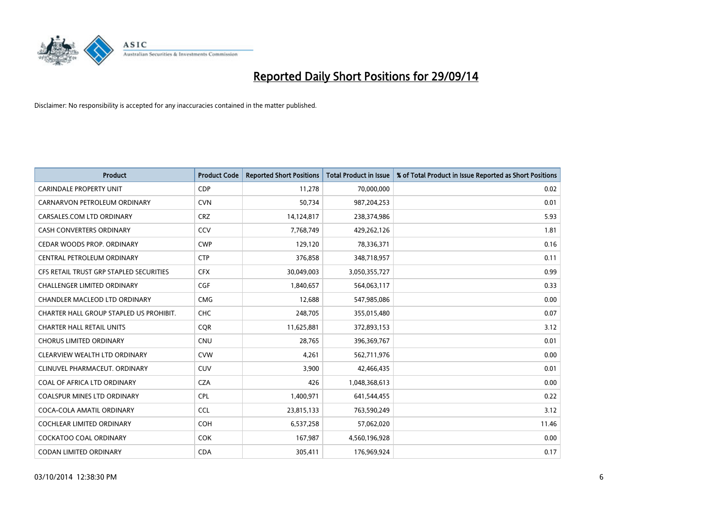

| <b>Product</b>                          | <b>Product Code</b> | <b>Reported Short Positions</b> | <b>Total Product in Issue</b> | % of Total Product in Issue Reported as Short Positions |
|-----------------------------------------|---------------------|---------------------------------|-------------------------------|---------------------------------------------------------|
| <b>CARINDALE PROPERTY UNIT</b>          | <b>CDP</b>          | 11,278                          | 70,000,000                    | 0.02                                                    |
| CARNARVON PETROLEUM ORDINARY            | <b>CVN</b>          | 50,734                          | 987,204,253                   | 0.01                                                    |
| CARSALES.COM LTD ORDINARY               | <b>CRZ</b>          | 14,124,817                      | 238,374,986                   | 5.93                                                    |
| CASH CONVERTERS ORDINARY                | CCV                 | 7,768,749                       | 429,262,126                   | 1.81                                                    |
| CEDAR WOODS PROP. ORDINARY              | <b>CWP</b>          | 129,120                         | 78,336,371                    | 0.16                                                    |
| CENTRAL PETROLEUM ORDINARY              | <b>CTP</b>          | 376,858                         | 348,718,957                   | 0.11                                                    |
| CFS RETAIL TRUST GRP STAPLED SECURITIES | <b>CFX</b>          | 30,049,003                      | 3,050,355,727                 | 0.99                                                    |
| CHALLENGER LIMITED ORDINARY             | <b>CGF</b>          | 1,840,657                       | 564,063,117                   | 0.33                                                    |
| CHANDLER MACLEOD LTD ORDINARY           | <b>CMG</b>          | 12,688                          | 547,985,086                   | 0.00                                                    |
| CHARTER HALL GROUP STAPLED US PROHIBIT. | <b>CHC</b>          | 248,705                         | 355,015,480                   | 0.07                                                    |
| <b>CHARTER HALL RETAIL UNITS</b>        | <b>CQR</b>          | 11,625,881                      | 372,893,153                   | 3.12                                                    |
| <b>CHORUS LIMITED ORDINARY</b>          | <b>CNU</b>          | 28,765                          | 396,369,767                   | 0.01                                                    |
| CLEARVIEW WEALTH LTD ORDINARY           | <b>CVW</b>          | 4,261                           | 562,711,976                   | 0.00                                                    |
| CLINUVEL PHARMACEUT. ORDINARY           | <b>CUV</b>          | 3,900                           | 42,466,435                    | 0.01                                                    |
| COAL OF AFRICA LTD ORDINARY             | <b>CZA</b>          | 426                             | 1,048,368,613                 | 0.00                                                    |
| <b>COALSPUR MINES LTD ORDINARY</b>      | <b>CPL</b>          | 1,400,971                       | 641,544,455                   | 0.22                                                    |
| COCA-COLA AMATIL ORDINARY               | <b>CCL</b>          | 23,815,133                      | 763,590,249                   | 3.12                                                    |
| <b>COCHLEAR LIMITED ORDINARY</b>        | <b>COH</b>          | 6,537,258                       | 57,062,020                    | 11.46                                                   |
| <b>COCKATOO COAL ORDINARY</b>           | <b>COK</b>          | 167,987                         | 4,560,196,928                 | 0.00                                                    |
| CODAN LIMITED ORDINARY                  | <b>CDA</b>          | 305,411                         | 176,969,924                   | 0.17                                                    |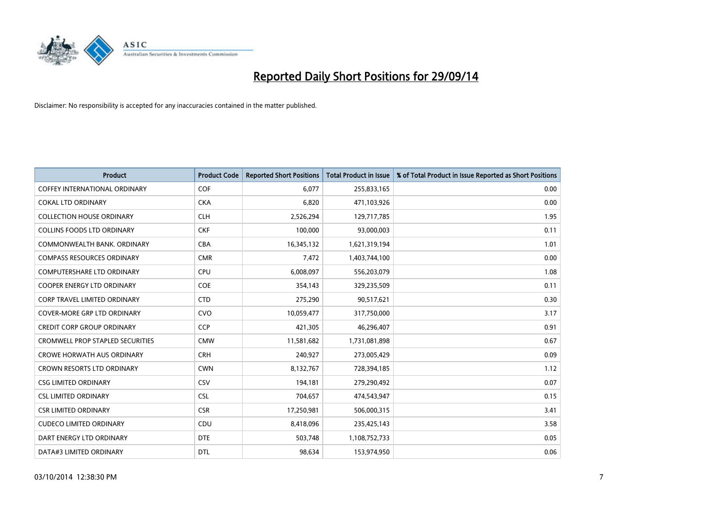

| <b>Product</b>                          | <b>Product Code</b> | <b>Reported Short Positions</b> | <b>Total Product in Issue</b> | % of Total Product in Issue Reported as Short Positions |
|-----------------------------------------|---------------------|---------------------------------|-------------------------------|---------------------------------------------------------|
| <b>COFFEY INTERNATIONAL ORDINARY</b>    | COF                 | 6,077                           | 255,833,165                   | 0.00                                                    |
| COKAL LTD ORDINARY                      | <b>CKA</b>          | 6,820                           | 471,103,926                   | 0.00                                                    |
| <b>COLLECTION HOUSE ORDINARY</b>        | <b>CLH</b>          | 2,526,294                       | 129,717,785                   | 1.95                                                    |
| COLLINS FOODS LTD ORDINARY              | <b>CKF</b>          | 100,000                         | 93,000,003                    | 0.11                                                    |
| COMMONWEALTH BANK, ORDINARY             | <b>CBA</b>          | 16,345,132                      | 1,621,319,194                 | 1.01                                                    |
| <b>COMPASS RESOURCES ORDINARY</b>       | <b>CMR</b>          | 7,472                           | 1,403,744,100                 | 0.00                                                    |
| <b>COMPUTERSHARE LTD ORDINARY</b>       | <b>CPU</b>          | 6,008,097                       | 556,203,079                   | 1.08                                                    |
| <b>COOPER ENERGY LTD ORDINARY</b>       | <b>COE</b>          | 354,143                         | 329,235,509                   | 0.11                                                    |
| <b>CORP TRAVEL LIMITED ORDINARY</b>     | <b>CTD</b>          | 275,290                         | 90,517,621                    | 0.30                                                    |
| COVER-MORE GRP LTD ORDINARY             | <b>CVO</b>          | 10,059,477                      | 317,750,000                   | 3.17                                                    |
| <b>CREDIT CORP GROUP ORDINARY</b>       | <b>CCP</b>          | 421,305                         | 46,296,407                    | 0.91                                                    |
| <b>CROMWELL PROP STAPLED SECURITIES</b> | <b>CMW</b>          | 11,581,682                      | 1,731,081,898                 | 0.67                                                    |
| <b>CROWE HORWATH AUS ORDINARY</b>       | <b>CRH</b>          | 240,927                         | 273,005,429                   | 0.09                                                    |
| <b>CROWN RESORTS LTD ORDINARY</b>       | <b>CWN</b>          | 8,132,767                       | 728,394,185                   | 1.12                                                    |
| <b>CSG LIMITED ORDINARY</b>             | CSV                 | 194,181                         | 279,290,492                   | 0.07                                                    |
| <b>CSL LIMITED ORDINARY</b>             | <b>CSL</b>          | 704,657                         | 474,543,947                   | 0.15                                                    |
| <b>CSR LIMITED ORDINARY</b>             | <b>CSR</b>          | 17,250,981                      | 506,000,315                   | 3.41                                                    |
| <b>CUDECO LIMITED ORDINARY</b>          | CDU                 | 8,418,096                       | 235,425,143                   | 3.58                                                    |
| DART ENERGY LTD ORDINARY                | <b>DTE</b>          | 503,748                         | 1,108,752,733                 | 0.05                                                    |
| DATA#3 LIMITED ORDINARY                 | <b>DTL</b>          | 98,634                          | 153,974,950                   | 0.06                                                    |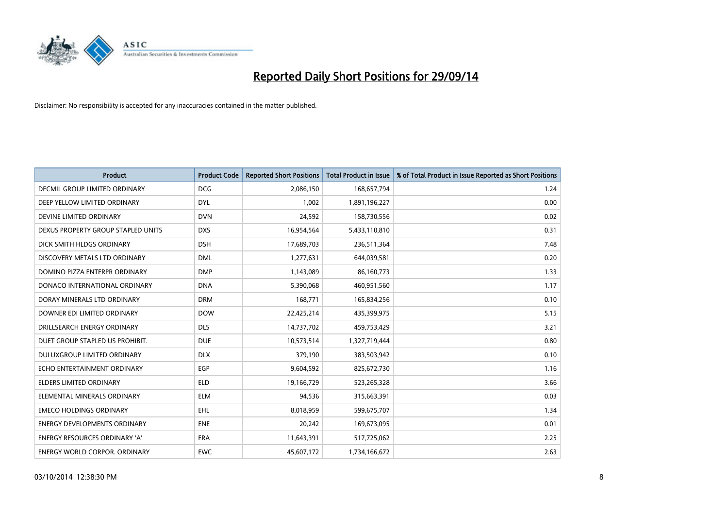

| <b>Product</b>                       | <b>Product Code</b> | <b>Reported Short Positions</b> | <b>Total Product in Issue</b> | % of Total Product in Issue Reported as Short Positions |
|--------------------------------------|---------------------|---------------------------------|-------------------------------|---------------------------------------------------------|
| DECMIL GROUP LIMITED ORDINARY        | <b>DCG</b>          | 2,086,150                       | 168,657,794                   | 1.24                                                    |
| DEEP YELLOW LIMITED ORDINARY         | <b>DYL</b>          | 1,002                           | 1,891,196,227                 | 0.00                                                    |
| DEVINE LIMITED ORDINARY              | <b>DVN</b>          | 24,592                          | 158,730,556                   | 0.02                                                    |
| DEXUS PROPERTY GROUP STAPLED UNITS   | <b>DXS</b>          | 16,954,564                      | 5,433,110,810                 | 0.31                                                    |
| DICK SMITH HLDGS ORDINARY            | <b>DSH</b>          | 17,689,703                      | 236,511,364                   | 7.48                                                    |
| DISCOVERY METALS LTD ORDINARY        | <b>DML</b>          | 1,277,631                       | 644,039,581                   | 0.20                                                    |
| DOMINO PIZZA ENTERPR ORDINARY        | <b>DMP</b>          | 1,143,089                       | 86,160,773                    | 1.33                                                    |
| DONACO INTERNATIONAL ORDINARY        | <b>DNA</b>          | 5,390,068                       | 460,951,560                   | 1.17                                                    |
| DORAY MINERALS LTD ORDINARY          | <b>DRM</b>          | 168,771                         | 165,834,256                   | 0.10                                                    |
| DOWNER EDI LIMITED ORDINARY          | <b>DOW</b>          | 22,425,214                      | 435,399,975                   | 5.15                                                    |
| DRILLSEARCH ENERGY ORDINARY          | <b>DLS</b>          | 14,737,702                      | 459,753,429                   | 3.21                                                    |
| DUET GROUP STAPLED US PROHIBIT.      | <b>DUE</b>          | 10,573,514                      | 1,327,719,444                 | 0.80                                                    |
| DULUXGROUP LIMITED ORDINARY          | <b>DLX</b>          | 379,190                         | 383,503,942                   | 0.10                                                    |
| ECHO ENTERTAINMENT ORDINARY          | <b>EGP</b>          | 9,604,592                       | 825,672,730                   | 1.16                                                    |
| <b>ELDERS LIMITED ORDINARY</b>       | <b>ELD</b>          | 19,166,729                      | 523,265,328                   | 3.66                                                    |
| ELEMENTAL MINERALS ORDINARY          | <b>ELM</b>          | 94,536                          | 315,663,391                   | 0.03                                                    |
| <b>EMECO HOLDINGS ORDINARY</b>       | <b>EHL</b>          | 8,018,959                       | 599,675,707                   | 1.34                                                    |
| <b>ENERGY DEVELOPMENTS ORDINARY</b>  | <b>ENE</b>          | 20,242                          | 169,673,095                   | 0.01                                                    |
| <b>ENERGY RESOURCES ORDINARY 'A'</b> | <b>ERA</b>          | 11,643,391                      | 517,725,062                   | 2.25                                                    |
| ENERGY WORLD CORPOR. ORDINARY        | <b>EWC</b>          | 45,607,172                      | 1,734,166,672                 | 2.63                                                    |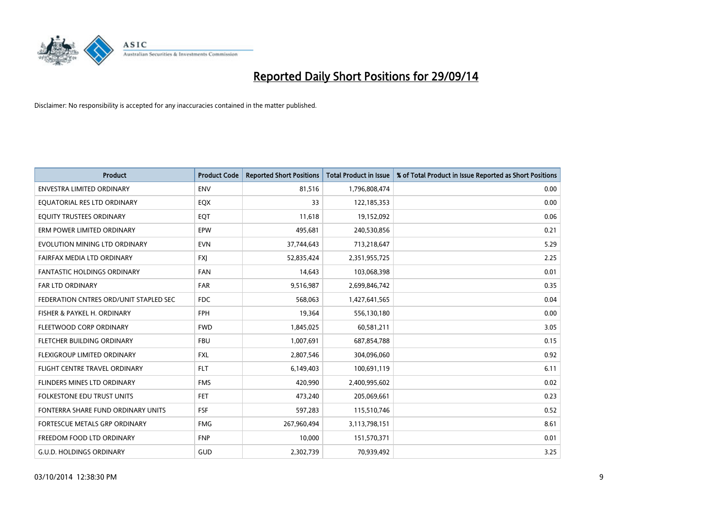

| <b>Product</b>                         | <b>Product Code</b> | <b>Reported Short Positions</b> | <b>Total Product in Issue</b> | % of Total Product in Issue Reported as Short Positions |
|----------------------------------------|---------------------|---------------------------------|-------------------------------|---------------------------------------------------------|
| <b>ENVESTRA LIMITED ORDINARY</b>       | <b>ENV</b>          | 81,516                          | 1,796,808,474                 | 0.00                                                    |
| EQUATORIAL RES LTD ORDINARY            | EQX                 | 33                              | 122,185,353                   | 0.00                                                    |
| EQUITY TRUSTEES ORDINARY               | EQT                 | 11,618                          | 19,152,092                    | 0.06                                                    |
| ERM POWER LIMITED ORDINARY             | <b>EPW</b>          | 495,681                         | 240,530,856                   | 0.21                                                    |
| EVOLUTION MINING LTD ORDINARY          | <b>EVN</b>          | 37,744,643                      | 713,218,647                   | 5.29                                                    |
| FAIRFAX MEDIA LTD ORDINARY             | <b>FXJ</b>          | 52,835,424                      | 2,351,955,725                 | 2.25                                                    |
| FANTASTIC HOLDINGS ORDINARY            | <b>FAN</b>          | 14,643                          | 103,068,398                   | 0.01                                                    |
| FAR LTD ORDINARY                       | <b>FAR</b>          | 9,516,987                       | 2,699,846,742                 | 0.35                                                    |
| FEDERATION CNTRES ORD/UNIT STAPLED SEC | <b>FDC</b>          | 568,063                         | 1,427,641,565                 | 0.04                                                    |
| FISHER & PAYKEL H. ORDINARY            | <b>FPH</b>          | 19,364                          | 556,130,180                   | 0.00                                                    |
| FLEETWOOD CORP ORDINARY                | <b>FWD</b>          | 1,845,025                       | 60,581,211                    | 3.05                                                    |
| FLETCHER BUILDING ORDINARY             | <b>FBU</b>          | 1,007,691                       | 687,854,788                   | 0.15                                                    |
| FLEXIGROUP LIMITED ORDINARY            | <b>FXL</b>          | 2,807,546                       | 304,096,060                   | 0.92                                                    |
| FLIGHT CENTRE TRAVEL ORDINARY          | <b>FLT</b>          | 6,149,403                       | 100,691,119                   | 6.11                                                    |
| FLINDERS MINES LTD ORDINARY            | <b>FMS</b>          | 420,990                         | 2,400,995,602                 | 0.02                                                    |
| <b>FOLKESTONE EDU TRUST UNITS</b>      | FET.                | 473,240                         | 205,069,661                   | 0.23                                                    |
| FONTERRA SHARE FUND ORDINARY UNITS     | <b>FSF</b>          | 597,283                         | 115,510,746                   | 0.52                                                    |
| FORTESCUE METALS GRP ORDINARY          | <b>FMG</b>          | 267,960,494                     | 3,113,798,151                 | 8.61                                                    |
| FREEDOM FOOD LTD ORDINARY              | <b>FNP</b>          | 10,000                          | 151,570,371                   | 0.01                                                    |
| <b>G.U.D. HOLDINGS ORDINARY</b>        | GUD                 | 2,302,739                       | 70,939,492                    | 3.25                                                    |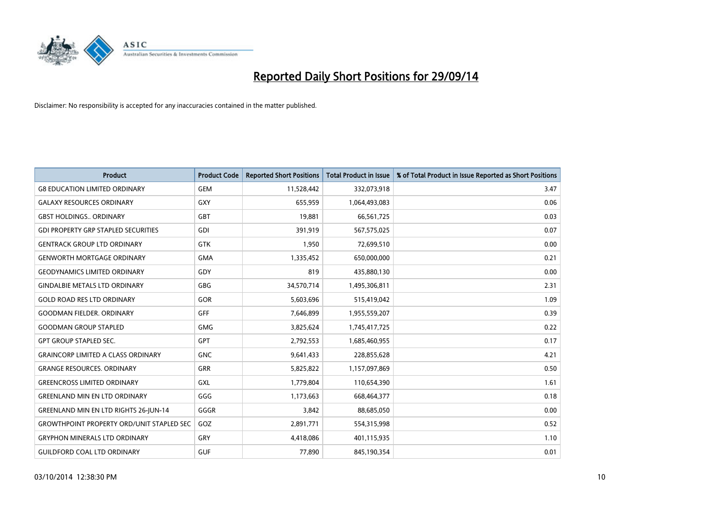

| <b>Product</b>                                   | <b>Product Code</b> | <b>Reported Short Positions</b> | <b>Total Product in Issue</b> | % of Total Product in Issue Reported as Short Positions |
|--------------------------------------------------|---------------------|---------------------------------|-------------------------------|---------------------------------------------------------|
| <b>G8 EDUCATION LIMITED ORDINARY</b>             | <b>GEM</b>          | 11,528,442                      | 332,073,918                   | 3.47                                                    |
| <b>GALAXY RESOURCES ORDINARY</b>                 | GXY                 | 655,959                         | 1,064,493,083                 | 0.06                                                    |
| <b>GBST HOLDINGS ORDINARY</b>                    | <b>GBT</b>          | 19,881                          | 66,561,725                    | 0.03                                                    |
| <b>GDI PROPERTY GRP STAPLED SECURITIES</b>       | <b>GDI</b>          | 391,919                         | 567,575,025                   | 0.07                                                    |
| <b>GENTRACK GROUP LTD ORDINARY</b>               | <b>GTK</b>          | 1,950                           | 72,699,510                    | 0.00                                                    |
| <b>GENWORTH MORTGAGE ORDINARY</b>                | <b>GMA</b>          | 1,335,452                       | 650,000,000                   | 0.21                                                    |
| <b>GEODYNAMICS LIMITED ORDINARY</b>              | <b>GDY</b>          | 819                             | 435,880,130                   | 0.00                                                    |
| <b>GINDALBIE METALS LTD ORDINARY</b>             | <b>GBG</b>          | 34,570,714                      | 1,495,306,811                 | 2.31                                                    |
| <b>GOLD ROAD RES LTD ORDINARY</b>                | <b>GOR</b>          | 5,603,696                       | 515,419,042                   | 1.09                                                    |
| <b>GOODMAN FIELDER, ORDINARY</b>                 | GFF                 | 7,646,899                       | 1,955,559,207                 | 0.39                                                    |
| <b>GOODMAN GROUP STAPLED</b>                     | <b>GMG</b>          | 3,825,624                       | 1,745,417,725                 | 0.22                                                    |
| <b>GPT GROUP STAPLED SEC.</b>                    | <b>GPT</b>          | 2,792,553                       | 1,685,460,955                 | 0.17                                                    |
| <b>GRAINCORP LIMITED A CLASS ORDINARY</b>        | <b>GNC</b>          | 9,641,433                       | 228,855,628                   | 4.21                                                    |
| <b>GRANGE RESOURCES, ORDINARY</b>                | <b>GRR</b>          | 5,825,822                       | 1,157,097,869                 | 0.50                                                    |
| <b>GREENCROSS LIMITED ORDINARY</b>               | GXL                 | 1,779,804                       | 110,654,390                   | 1.61                                                    |
| <b>GREENLAND MIN EN LTD ORDINARY</b>             | GGG                 | 1,173,663                       | 668,464,377                   | 0.18                                                    |
| <b>GREENLAND MIN EN LTD RIGHTS 26-JUN-14</b>     | GGGR                | 3,842                           | 88,685,050                    | 0.00                                                    |
| <b>GROWTHPOINT PROPERTY ORD/UNIT STAPLED SEC</b> | GOZ                 | 2,891,771                       | 554,315,998                   | 0.52                                                    |
| <b>GRYPHON MINERALS LTD ORDINARY</b>             | GRY                 | 4,418,086                       | 401,115,935                   | 1.10                                                    |
| <b>GUILDFORD COAL LTD ORDINARY</b>               | <b>GUF</b>          | 77,890                          | 845,190,354                   | 0.01                                                    |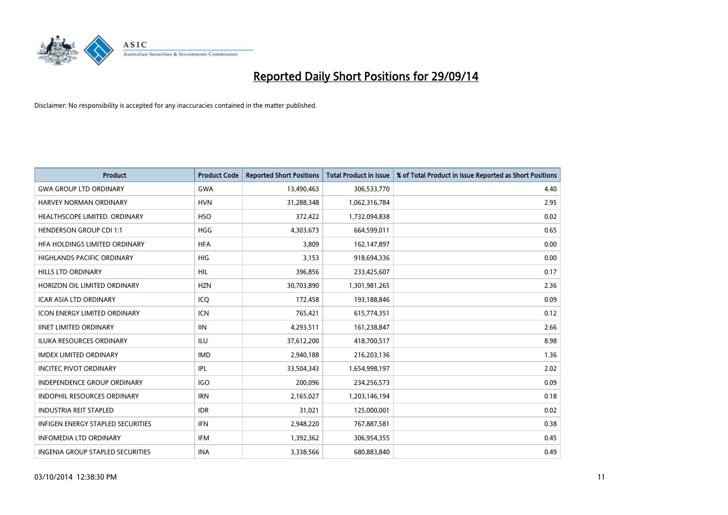

| <b>Product</b>                           | <b>Product Code</b> | <b>Reported Short Positions</b> | <b>Total Product in Issue</b> | % of Total Product in Issue Reported as Short Positions |
|------------------------------------------|---------------------|---------------------------------|-------------------------------|---------------------------------------------------------|
| <b>GWA GROUP LTD ORDINARY</b>            | <b>GWA</b>          | 13,490,463                      | 306,533,770                   | 4.40                                                    |
| HARVEY NORMAN ORDINARY                   | <b>HVN</b>          | 31,288,348                      | 1,062,316,784                 | 2.95                                                    |
| HEALTHSCOPE LIMITED. ORDINARY            | <b>HSO</b>          | 372,422                         | 1,732,094,838                 | 0.02                                                    |
| <b>HENDERSON GROUP CDI 1:1</b>           | <b>HGG</b>          | 4,303,673                       | 664,599,011                   | 0.65                                                    |
| HFA HOLDINGS LIMITED ORDINARY            | <b>HFA</b>          | 3,809                           | 162,147,897                   | 0.00                                                    |
| <b>HIGHLANDS PACIFIC ORDINARY</b>        | <b>HIG</b>          | 3,153                           | 918,694,336                   | 0.00                                                    |
| <b>HILLS LTD ORDINARY</b>                | HIL                 | 396,856                         | 233,425,607                   | 0.17                                                    |
| HORIZON OIL LIMITED ORDINARY             | <b>HZN</b>          | 30,703,890                      | 1,301,981,265                 | 2.36                                                    |
| ICAR ASIA LTD ORDINARY                   | ICO                 | 172,458                         | 193,188,846                   | 0.09                                                    |
| <b>ICON ENERGY LIMITED ORDINARY</b>      | <b>ICN</b>          | 765,421                         | 615,774,351                   | 0.12                                                    |
| <b>IINET LIMITED ORDINARY</b>            | <b>IIN</b>          | 4,293,511                       | 161,238,847                   | 2.66                                                    |
| <b>ILUKA RESOURCES ORDINARY</b>          | <b>ILU</b>          | 37,612,200                      | 418,700,517                   | 8.98                                                    |
| <b>IMDEX LIMITED ORDINARY</b>            | <b>IMD</b>          | 2,940,188                       | 216,203,136                   | 1.36                                                    |
| <b>INCITEC PIVOT ORDINARY</b>            | IPL                 | 33,504,343                      | 1,654,998,197                 | 2.02                                                    |
| <b>INDEPENDENCE GROUP ORDINARY</b>       | <b>IGO</b>          | 200,096                         | 234,256,573                   | 0.09                                                    |
| INDOPHIL RESOURCES ORDINARY              | <b>IRN</b>          | 2,165,027                       | 1,203,146,194                 | 0.18                                                    |
| <b>INDUSTRIA REIT STAPLED</b>            | <b>IDR</b>          | 31,021                          | 125,000,001                   | 0.02                                                    |
| <b>INFIGEN ENERGY STAPLED SECURITIES</b> | <b>IFN</b>          | 2,948,220                       | 767,887,581                   | 0.38                                                    |
| <b>INFOMEDIA LTD ORDINARY</b>            | IFM                 | 1,392,362                       | 306,954,355                   | 0.45                                                    |
| <b>INGENIA GROUP STAPLED SECURITIES</b>  | <b>INA</b>          | 3,338,566                       | 680,883,840                   | 0.49                                                    |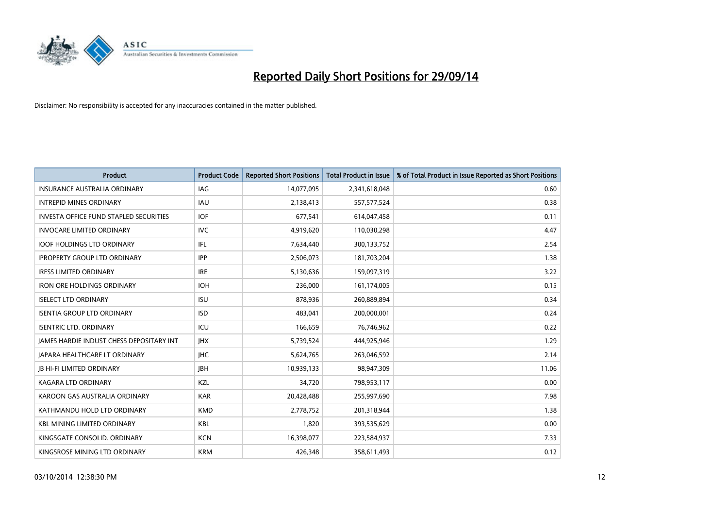

| <b>Product</b>                                | <b>Product Code</b> | <b>Reported Short Positions</b> | <b>Total Product in Issue</b> | % of Total Product in Issue Reported as Short Positions |
|-----------------------------------------------|---------------------|---------------------------------|-------------------------------|---------------------------------------------------------|
| <b>INSURANCE AUSTRALIA ORDINARY</b>           | <b>IAG</b>          | 14,077,095                      | 2,341,618,048                 | 0.60                                                    |
| <b>INTREPID MINES ORDINARY</b>                | IAU                 | 2,138,413                       | 557,577,524                   | 0.38                                                    |
| <b>INVESTA OFFICE FUND STAPLED SECURITIES</b> | <b>IOF</b>          | 677,541                         | 614,047,458                   | 0.11                                                    |
| <b>INVOCARE LIMITED ORDINARY</b>              | <b>IVC</b>          | 4,919,620                       | 110,030,298                   | 4.47                                                    |
| <b>IOOF HOLDINGS LTD ORDINARY</b>             | IFL                 | 7,634,440                       | 300,133,752                   | 2.54                                                    |
| <b>IPROPERTY GROUP LTD ORDINARY</b>           | <b>IPP</b>          | 2,506,073                       | 181,703,204                   | 1.38                                                    |
| <b>IRESS LIMITED ORDINARY</b>                 | <b>IRE</b>          | 5,130,636                       | 159,097,319                   | 3.22                                                    |
| <b>IRON ORE HOLDINGS ORDINARY</b>             | <b>IOH</b>          | 236,000                         | 161,174,005                   | 0.15                                                    |
| <b>ISELECT LTD ORDINARY</b>                   | <b>ISU</b>          | 878,936                         | 260,889,894                   | 0.34                                                    |
| <b>ISENTIA GROUP LTD ORDINARY</b>             | <b>ISD</b>          | 483,041                         | 200,000,001                   | 0.24                                                    |
| <b>ISENTRIC LTD. ORDINARY</b>                 | ICU                 | 166,659                         | 76,746,962                    | 0.22                                                    |
| JAMES HARDIE INDUST CHESS DEPOSITARY INT      | <b>IHX</b>          | 5,739,524                       | 444,925,946                   | 1.29                                                    |
| <b>JAPARA HEALTHCARE LT ORDINARY</b>          | <b>IHC</b>          | 5,624,765                       | 263,046,592                   | 2.14                                                    |
| <b>JB HI-FI LIMITED ORDINARY</b>              | <b>IBH</b>          | 10,939,133                      | 98,947,309                    | 11.06                                                   |
| <b>KAGARA LTD ORDINARY</b>                    | KZL                 | 34,720                          | 798,953,117                   | 0.00                                                    |
| KAROON GAS AUSTRALIA ORDINARY                 | <b>KAR</b>          | 20,428,488                      | 255,997,690                   | 7.98                                                    |
| KATHMANDU HOLD LTD ORDINARY                   | <b>KMD</b>          | 2,778,752                       | 201,318,944                   | 1.38                                                    |
| <b>KBL MINING LIMITED ORDINARY</b>            | <b>KBL</b>          | 1,820                           | 393,535,629                   | 0.00                                                    |
| KINGSGATE CONSOLID. ORDINARY                  | <b>KCN</b>          | 16,398,077                      | 223,584,937                   | 7.33                                                    |
| KINGSROSE MINING LTD ORDINARY                 | <b>KRM</b>          | 426,348                         | 358,611,493                   | 0.12                                                    |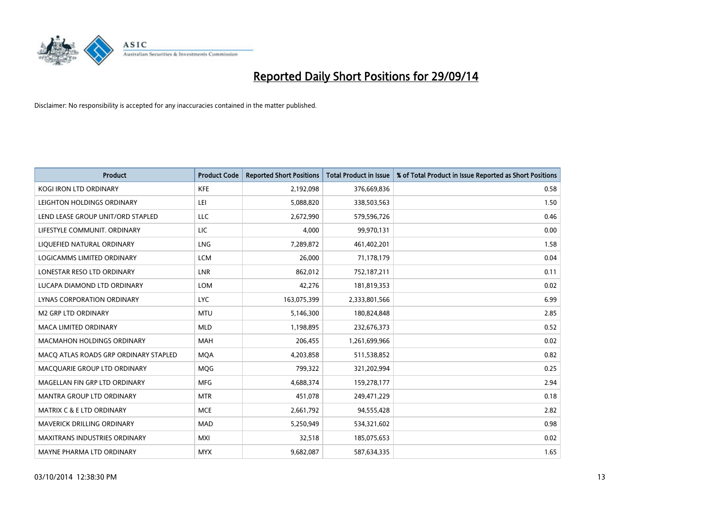

| <b>Product</b>                        | <b>Product Code</b> | <b>Reported Short Positions</b> | <b>Total Product in Issue</b> | % of Total Product in Issue Reported as Short Positions |
|---------------------------------------|---------------------|---------------------------------|-------------------------------|---------------------------------------------------------|
| <b>KOGI IRON LTD ORDINARY</b>         | <b>KFE</b>          | 2,192,098                       | 376,669,836                   | 0.58                                                    |
| LEIGHTON HOLDINGS ORDINARY            | LEI                 | 5,088,820                       | 338,503,563                   | 1.50                                                    |
| LEND LEASE GROUP UNIT/ORD STAPLED     | LLC                 | 2,672,990                       | 579,596,726                   | 0.46                                                    |
| LIFESTYLE COMMUNIT. ORDINARY          | LIC                 | 4,000                           | 99,970,131                    | 0.00                                                    |
| LIQUEFIED NATURAL ORDINARY            | <b>LNG</b>          | 7,289,872                       | 461,402,201                   | 1.58                                                    |
| LOGICAMMS LIMITED ORDINARY            | <b>LCM</b>          | 26,000                          | 71,178,179                    | 0.04                                                    |
| LONESTAR RESO LTD ORDINARY            | <b>LNR</b>          | 862,012                         | 752,187,211                   | 0.11                                                    |
| LUCAPA DIAMOND LTD ORDINARY           | <b>LOM</b>          | 42,276                          | 181,819,353                   | 0.02                                                    |
| LYNAS CORPORATION ORDINARY            | <b>LYC</b>          | 163,075,399                     | 2,333,801,566                 | 6.99                                                    |
| <b>M2 GRP LTD ORDINARY</b>            | <b>MTU</b>          | 5,146,300                       | 180,824,848                   | 2.85                                                    |
| MACA LIMITED ORDINARY                 | <b>MLD</b>          | 1,198,895                       | 232,676,373                   | 0.52                                                    |
| <b>MACMAHON HOLDINGS ORDINARY</b>     | <b>MAH</b>          | 206,455                         | 1,261,699,966                 | 0.02                                                    |
| MACO ATLAS ROADS GRP ORDINARY STAPLED | <b>MQA</b>          | 4,203,858                       | 511,538,852                   | 0.82                                                    |
| MACQUARIE GROUP LTD ORDINARY          | <b>MOG</b>          | 799,322                         | 321,202,994                   | 0.25                                                    |
| MAGELLAN FIN GRP LTD ORDINARY         | <b>MFG</b>          | 4,688,374                       | 159,278,177                   | 2.94                                                    |
| MANTRA GROUP LTD ORDINARY             | <b>MTR</b>          | 451,078                         | 249,471,229                   | 0.18                                                    |
| <b>MATRIX C &amp; E LTD ORDINARY</b>  | <b>MCE</b>          | 2,661,792                       | 94,555,428                    | 2.82                                                    |
| MAVERICK DRILLING ORDINARY            | <b>MAD</b>          | 5,250,949                       | 534,321,602                   | 0.98                                                    |
| <b>MAXITRANS INDUSTRIES ORDINARY</b>  | <b>MXI</b>          | 32,518                          | 185,075,653                   | 0.02                                                    |
| MAYNE PHARMA LTD ORDINARY             | <b>MYX</b>          | 9,682,087                       | 587,634,335                   | 1.65                                                    |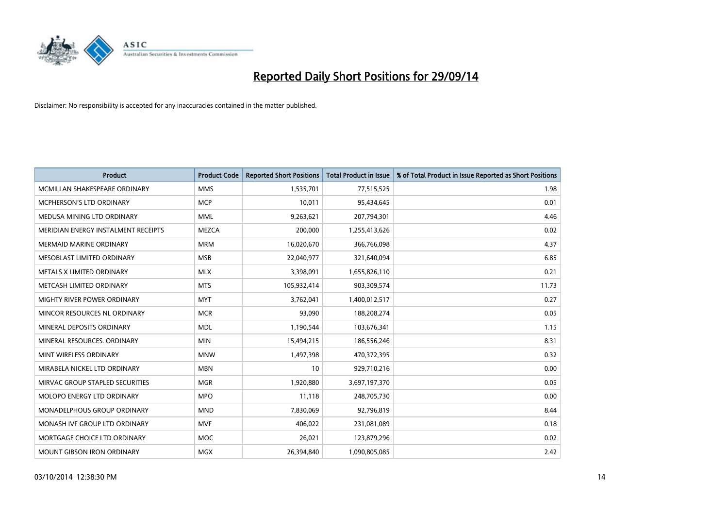

| <b>Product</b>                      | <b>Product Code</b> | <b>Reported Short Positions</b> | <b>Total Product in Issue</b> | % of Total Product in Issue Reported as Short Positions |
|-------------------------------------|---------------------|---------------------------------|-------------------------------|---------------------------------------------------------|
| MCMILLAN SHAKESPEARE ORDINARY       | <b>MMS</b>          | 1,535,701                       | 77,515,525                    | 1.98                                                    |
| MCPHERSON'S LTD ORDINARY            | <b>MCP</b>          | 10,011                          | 95,434,645                    | 0.01                                                    |
| MEDUSA MINING LTD ORDINARY          | <b>MML</b>          | 9,263,621                       | 207,794,301                   | 4.46                                                    |
| MERIDIAN ENERGY INSTALMENT RECEIPTS | <b>MEZCA</b>        | 200,000                         | 1,255,413,626                 | 0.02                                                    |
| <b>MERMAID MARINE ORDINARY</b>      | <b>MRM</b>          | 16,020,670                      | 366,766,098                   | 4.37                                                    |
| MESOBLAST LIMITED ORDINARY          | <b>MSB</b>          | 22,040,977                      | 321,640,094                   | 6.85                                                    |
| METALS X LIMITED ORDINARY           | <b>MLX</b>          | 3,398,091                       | 1,655,826,110                 | 0.21                                                    |
| METCASH LIMITED ORDINARY            | <b>MTS</b>          | 105,932,414                     | 903,309,574                   | 11.73                                                   |
| MIGHTY RIVER POWER ORDINARY         | <b>MYT</b>          | 3,762,041                       | 1,400,012,517                 | 0.27                                                    |
| MINCOR RESOURCES NL ORDINARY        | <b>MCR</b>          | 93,090                          | 188,208,274                   | 0.05                                                    |
| MINERAL DEPOSITS ORDINARY           | <b>MDL</b>          | 1,190,544                       | 103,676,341                   | 1.15                                                    |
| MINERAL RESOURCES, ORDINARY         | <b>MIN</b>          | 15,494,215                      | 186,556,246                   | 8.31                                                    |
| MINT WIRELESS ORDINARY              | <b>MNW</b>          | 1,497,398                       | 470,372,395                   | 0.32                                                    |
| MIRABELA NICKEL LTD ORDINARY        | <b>MBN</b>          | 10                              | 929,710,216                   | 0.00                                                    |
| MIRVAC GROUP STAPLED SECURITIES     | <b>MGR</b>          | 1,920,880                       | 3,697,197,370                 | 0.05                                                    |
| MOLOPO ENERGY LTD ORDINARY          | <b>MPO</b>          | 11,118                          | 248,705,730                   | 0.00                                                    |
| MONADELPHOUS GROUP ORDINARY         | <b>MND</b>          | 7,830,069                       | 92,796,819                    | 8.44                                                    |
| MONASH IVF GROUP LTD ORDINARY       | <b>MVF</b>          | 406,022                         | 231,081,089                   | 0.18                                                    |
| MORTGAGE CHOICE LTD ORDINARY        | <b>MOC</b>          | 26,021                          | 123,879,296                   | 0.02                                                    |
| MOUNT GIBSON IRON ORDINARY          | MGX                 | 26,394,840                      | 1,090,805,085                 | 2.42                                                    |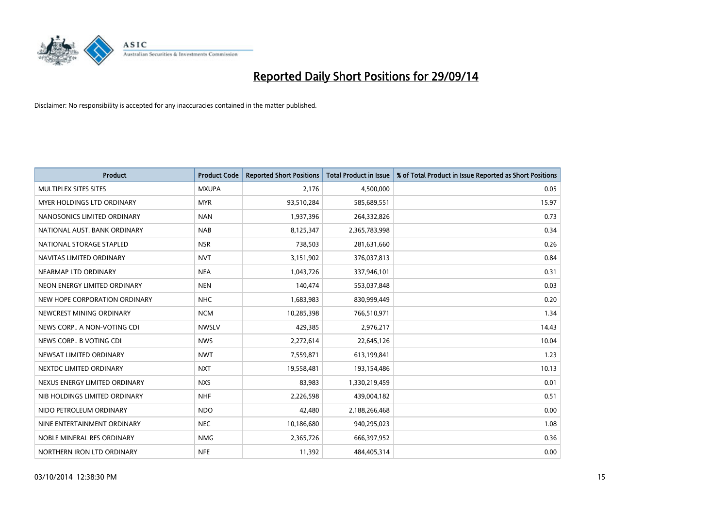

| <b>Product</b>                | <b>Product Code</b> | <b>Reported Short Positions</b> | <b>Total Product in Issue</b> | % of Total Product in Issue Reported as Short Positions |
|-------------------------------|---------------------|---------------------------------|-------------------------------|---------------------------------------------------------|
| MULTIPLEX SITES SITES         | <b>MXUPA</b>        | 2.176                           | 4,500,000                     | 0.05                                                    |
| MYER HOLDINGS LTD ORDINARY    | <b>MYR</b>          | 93,510,284                      | 585,689,551                   | 15.97                                                   |
| NANOSONICS LIMITED ORDINARY   | <b>NAN</b>          | 1,937,396                       | 264,332,826                   | 0.73                                                    |
| NATIONAL AUST, BANK ORDINARY  | <b>NAB</b>          | 8,125,347                       | 2,365,783,998                 | 0.34                                                    |
| NATIONAL STORAGE STAPLED      | <b>NSR</b>          | 738,503                         | 281,631,660                   | 0.26                                                    |
| NAVITAS LIMITED ORDINARY      | <b>NVT</b>          | 3,151,902                       | 376,037,813                   | 0.84                                                    |
| NEARMAP LTD ORDINARY          | <b>NEA</b>          | 1,043,726                       | 337,946,101                   | 0.31                                                    |
| NEON ENERGY LIMITED ORDINARY  | <b>NEN</b>          | 140,474                         | 553,037,848                   | 0.03                                                    |
| NEW HOPE CORPORATION ORDINARY | <b>NHC</b>          | 1,683,983                       | 830,999,449                   | 0.20                                                    |
| NEWCREST MINING ORDINARY      | <b>NCM</b>          | 10,285,398                      | 766,510,971                   | 1.34                                                    |
| NEWS CORP A NON-VOTING CDI    | <b>NWSLV</b>        | 429,385                         | 2,976,217                     | 14.43                                                   |
| NEWS CORP B VOTING CDI        | <b>NWS</b>          | 2,272,614                       | 22,645,126                    | 10.04                                                   |
| NEWSAT LIMITED ORDINARY       | <b>NWT</b>          | 7,559,871                       | 613,199,841                   | 1.23                                                    |
| NEXTDC LIMITED ORDINARY       | <b>NXT</b>          | 19,558,481                      | 193,154,486                   | 10.13                                                   |
| NEXUS ENERGY LIMITED ORDINARY | <b>NXS</b>          | 83,983                          | 1,330,219,459                 | 0.01                                                    |
| NIB HOLDINGS LIMITED ORDINARY | <b>NHF</b>          | 2,226,598                       | 439,004,182                   | 0.51                                                    |
| NIDO PETROLEUM ORDINARY       | <b>NDO</b>          | 42,480                          | 2,188,266,468                 | 0.00                                                    |
| NINE ENTERTAINMENT ORDINARY   | <b>NEC</b>          | 10,186,680                      | 940,295,023                   | 1.08                                                    |
| NOBLE MINERAL RES ORDINARY    | <b>NMG</b>          | 2,365,726                       | 666,397,952                   | 0.36                                                    |
| NORTHERN IRON LTD ORDINARY    | <b>NFE</b>          | 11,392                          | 484,405,314                   | 0.00                                                    |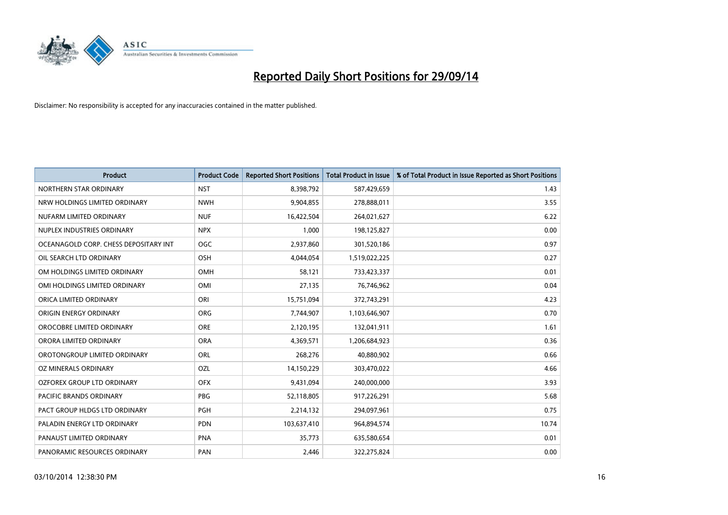

| <b>Product</b>                        | <b>Product Code</b> | <b>Reported Short Positions</b> | <b>Total Product in Issue</b> | % of Total Product in Issue Reported as Short Positions |
|---------------------------------------|---------------------|---------------------------------|-------------------------------|---------------------------------------------------------|
| NORTHERN STAR ORDINARY                | <b>NST</b>          | 8,398,792                       | 587,429,659                   | 1.43                                                    |
| NRW HOLDINGS LIMITED ORDINARY         | <b>NWH</b>          | 9,904,855                       | 278,888,011                   | 3.55                                                    |
| NUFARM LIMITED ORDINARY               | <b>NUF</b>          | 16,422,504                      | 264,021,627                   | 6.22                                                    |
| NUPLEX INDUSTRIES ORDINARY            | <b>NPX</b>          | 1,000                           | 198,125,827                   | 0.00                                                    |
| OCEANAGOLD CORP. CHESS DEPOSITARY INT | OGC                 | 2,937,860                       | 301,520,186                   | 0.97                                                    |
| OIL SEARCH LTD ORDINARY               | OSH                 | 4,044,054                       | 1,519,022,225                 | 0.27                                                    |
| OM HOLDINGS LIMITED ORDINARY          | OMH                 | 58,121                          | 733,423,337                   | 0.01                                                    |
| OMI HOLDINGS LIMITED ORDINARY         | <b>OMI</b>          | 27,135                          | 76,746,962                    | 0.04                                                    |
| ORICA LIMITED ORDINARY                | ORI                 | 15,751,094                      | 372,743,291                   | 4.23                                                    |
| ORIGIN ENERGY ORDINARY                | <b>ORG</b>          | 7,744,907                       | 1,103,646,907                 | 0.70                                                    |
| OROCOBRE LIMITED ORDINARY             | <b>ORE</b>          | 2,120,195                       | 132,041,911                   | 1.61                                                    |
| ORORA LIMITED ORDINARY                | <b>ORA</b>          | 4,369,571                       | 1,206,684,923                 | 0.36                                                    |
| OROTONGROUP LIMITED ORDINARY          | ORL                 | 268,276                         | 40,880,902                    | 0.66                                                    |
| OZ MINERALS ORDINARY                  | OZL                 | 14,150,229                      | 303,470,022                   | 4.66                                                    |
| OZFOREX GROUP LTD ORDINARY            | <b>OFX</b>          | 9,431,094                       | 240,000,000                   | 3.93                                                    |
| <b>PACIFIC BRANDS ORDINARY</b>        | <b>PBG</b>          | 52,118,805                      | 917,226,291                   | 5.68                                                    |
| PACT GROUP HLDGS LTD ORDINARY         | <b>PGH</b>          | 2,214,132                       | 294,097,961                   | 0.75                                                    |
| PALADIN ENERGY LTD ORDINARY           | <b>PDN</b>          | 103,637,410                     | 964,894,574                   | 10.74                                                   |
| PANAUST LIMITED ORDINARY              | <b>PNA</b>          | 35,773                          | 635,580,654                   | 0.01                                                    |
| PANORAMIC RESOURCES ORDINARY          | PAN                 | 2,446                           | 322,275,824                   | 0.00                                                    |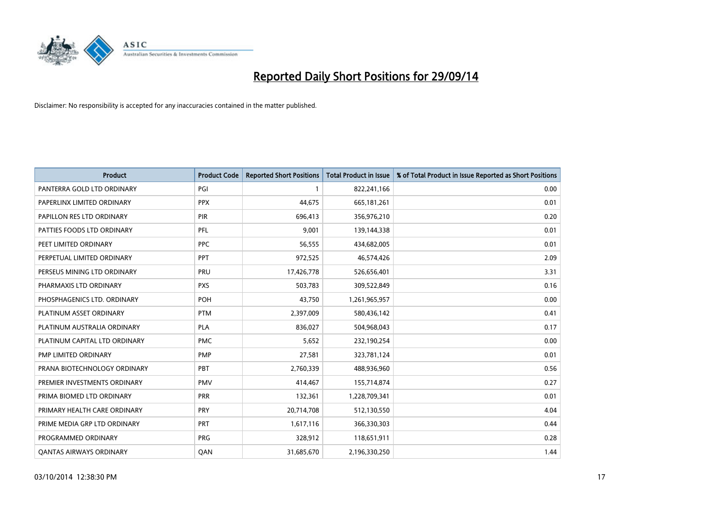

| <b>Product</b>                 | <b>Product Code</b> | <b>Reported Short Positions</b> | <b>Total Product in Issue</b> | % of Total Product in Issue Reported as Short Positions |
|--------------------------------|---------------------|---------------------------------|-------------------------------|---------------------------------------------------------|
| PANTERRA GOLD LTD ORDINARY     | PGI                 | 1                               | 822,241,166                   | 0.00                                                    |
| PAPERLINX LIMITED ORDINARY     | <b>PPX</b>          | 44,675                          | 665, 181, 261                 | 0.01                                                    |
| PAPILLON RES LTD ORDINARY      | <b>PIR</b>          | 696,413                         | 356,976,210                   | 0.20                                                    |
| PATTIES FOODS LTD ORDINARY     | PFL                 | 9,001                           | 139,144,338                   | 0.01                                                    |
| PEET LIMITED ORDINARY          | <b>PPC</b>          | 56,555                          | 434,682,005                   | 0.01                                                    |
| PERPETUAL LIMITED ORDINARY     | <b>PPT</b>          | 972,525                         | 46,574,426                    | 2.09                                                    |
| PERSEUS MINING LTD ORDINARY    | <b>PRU</b>          | 17,426,778                      | 526,656,401                   | 3.31                                                    |
| PHARMAXIS LTD ORDINARY         | <b>PXS</b>          | 503,783                         | 309,522,849                   | 0.16                                                    |
| PHOSPHAGENICS LTD. ORDINARY    | POH                 | 43,750                          | 1,261,965,957                 | 0.00                                                    |
| PLATINUM ASSET ORDINARY        | <b>PTM</b>          | 2,397,009                       | 580,436,142                   | 0.41                                                    |
| PLATINUM AUSTRALIA ORDINARY    | PLA                 | 836,027                         | 504,968,043                   | 0.17                                                    |
| PLATINUM CAPITAL LTD ORDINARY  | <b>PMC</b>          | 5,652                           | 232,190,254                   | 0.00                                                    |
| PMP LIMITED ORDINARY           | <b>PMP</b>          | 27,581                          | 323,781,124                   | 0.01                                                    |
| PRANA BIOTECHNOLOGY ORDINARY   | PBT                 | 2,760,339                       | 488,936,960                   | 0.56                                                    |
| PREMIER INVESTMENTS ORDINARY   | <b>PMV</b>          | 414,467                         | 155,714,874                   | 0.27                                                    |
| PRIMA BIOMED LTD ORDINARY      | <b>PRR</b>          | 132,361                         | 1,228,709,341                 | 0.01                                                    |
| PRIMARY HEALTH CARE ORDINARY   | PRY                 | 20,714,708                      | 512,130,550                   | 4.04                                                    |
| PRIME MEDIA GRP LTD ORDINARY   | <b>PRT</b>          | 1,617,116                       | 366,330,303                   | 0.44                                                    |
| PROGRAMMED ORDINARY            | <b>PRG</b>          | 328,912                         | 118,651,911                   | 0.28                                                    |
| <b>QANTAS AIRWAYS ORDINARY</b> | QAN                 | 31,685,670                      | 2,196,330,250                 | 1.44                                                    |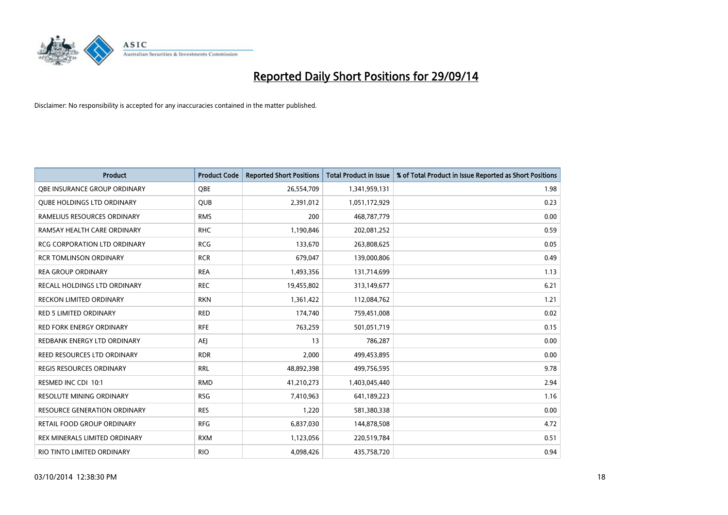

| Product                             | <b>Product Code</b> | <b>Reported Short Positions</b> | <b>Total Product in Issue</b> | % of Total Product in Issue Reported as Short Positions |
|-------------------------------------|---------------------|---------------------------------|-------------------------------|---------------------------------------------------------|
| OBE INSURANCE GROUP ORDINARY        | <b>OBE</b>          | 26,554,709                      | 1,341,959,131                 | 1.98                                                    |
| <b>QUBE HOLDINGS LTD ORDINARY</b>   | QUB                 | 2,391,012                       | 1,051,172,929                 | 0.23                                                    |
| RAMELIUS RESOURCES ORDINARY         | <b>RMS</b>          | 200                             | 468,787,779                   | 0.00                                                    |
| RAMSAY HEALTH CARE ORDINARY         | <b>RHC</b>          | 1,190,846                       | 202,081,252                   | 0.59                                                    |
| <b>RCG CORPORATION LTD ORDINARY</b> | <b>RCG</b>          | 133,670                         | 263,808,625                   | 0.05                                                    |
| <b>RCR TOMLINSON ORDINARY</b>       | <b>RCR</b>          | 679,047                         | 139,000,806                   | 0.49                                                    |
| <b>REA GROUP ORDINARY</b>           | <b>REA</b>          | 1,493,356                       | 131,714,699                   | 1.13                                                    |
| RECALL HOLDINGS LTD ORDINARY        | <b>REC</b>          | 19,455,802                      | 313,149,677                   | 6.21                                                    |
| <b>RECKON LIMITED ORDINARY</b>      | <b>RKN</b>          | 1,361,422                       | 112,084,762                   | 1.21                                                    |
| <b>RED 5 LIMITED ORDINARY</b>       | <b>RED</b>          | 174,740                         | 759,451,008                   | 0.02                                                    |
| RED FORK ENERGY ORDINARY            | <b>RFE</b>          | 763,259                         | 501,051,719                   | 0.15                                                    |
| REDBANK ENERGY LTD ORDINARY         | <b>AEJ</b>          | 13                              | 786,287                       | 0.00                                                    |
| REED RESOURCES LTD ORDINARY         | <b>RDR</b>          | 2,000                           | 499,453,895                   | 0.00                                                    |
| <b>REGIS RESOURCES ORDINARY</b>     | <b>RRL</b>          | 48,892,398                      | 499,756,595                   | 9.78                                                    |
| RESMED INC CDI 10:1                 | <b>RMD</b>          | 41,210,273                      | 1,403,045,440                 | 2.94                                                    |
| <b>RESOLUTE MINING ORDINARY</b>     | <b>RSG</b>          | 7,410,963                       | 641,189,223                   | 1.16                                                    |
| RESOURCE GENERATION ORDINARY        | <b>RES</b>          | 1,220                           | 581,380,338                   | 0.00                                                    |
| RETAIL FOOD GROUP ORDINARY          | <b>RFG</b>          | 6,837,030                       | 144,878,508                   | 4.72                                                    |
| REX MINERALS LIMITED ORDINARY       | <b>RXM</b>          | 1,123,056                       | 220,519,784                   | 0.51                                                    |
| RIO TINTO LIMITED ORDINARY          | <b>RIO</b>          | 4,098,426                       | 435,758,720                   | 0.94                                                    |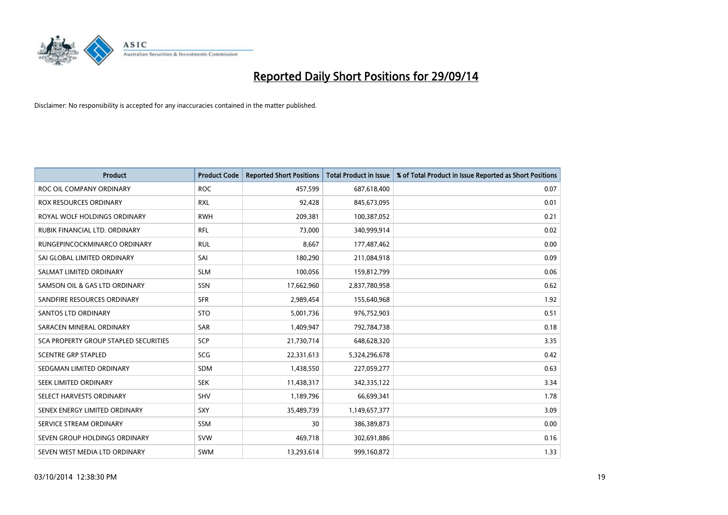

| <b>Product</b>                        | <b>Product Code</b> | <b>Reported Short Positions</b> | <b>Total Product in Issue</b> | % of Total Product in Issue Reported as Short Positions |
|---------------------------------------|---------------------|---------------------------------|-------------------------------|---------------------------------------------------------|
| ROC OIL COMPANY ORDINARY              | <b>ROC</b>          | 457,599                         | 687,618,400                   | 0.07                                                    |
| <b>ROX RESOURCES ORDINARY</b>         | <b>RXL</b>          | 92,428                          | 845,673,095                   | 0.01                                                    |
| ROYAL WOLF HOLDINGS ORDINARY          | <b>RWH</b>          | 209,381                         | 100,387,052                   | 0.21                                                    |
| RUBIK FINANCIAL LTD. ORDINARY         | <b>RFL</b>          | 73,000                          | 340,999,914                   | 0.02                                                    |
| RUNGEPINCOCKMINARCO ORDINARY          | <b>RUL</b>          | 8,667                           | 177,487,462                   | 0.00                                                    |
| SAI GLOBAL LIMITED ORDINARY           | SAI                 | 180,290                         | 211,084,918                   | 0.09                                                    |
| SALMAT LIMITED ORDINARY               | <b>SLM</b>          | 100,056                         | 159,812,799                   | 0.06                                                    |
| SAMSON OIL & GAS LTD ORDINARY         | SSN                 | 17,662,960                      | 2,837,780,958                 | 0.62                                                    |
| SANDFIRE RESOURCES ORDINARY           | <b>SFR</b>          | 2,989,454                       | 155,640,968                   | 1.92                                                    |
| SANTOS LTD ORDINARY                   | <b>STO</b>          | 5,001,736                       | 976,752,903                   | 0.51                                                    |
| SARACEN MINERAL ORDINARY              | SAR                 | 1,409,947                       | 792,784,738                   | 0.18                                                    |
| SCA PROPERTY GROUP STAPLED SECURITIES | <b>SCP</b>          | 21,730,714                      | 648,628,320                   | 3.35                                                    |
| <b>SCENTRE GRP STAPLED</b>            | SCG                 | 22,331,613                      | 5,324,296,678                 | 0.42                                                    |
| SEDGMAN LIMITED ORDINARY              | SDM                 | 1,438,550                       | 227,059,277                   | 0.63                                                    |
| SEEK LIMITED ORDINARY                 | <b>SEK</b>          | 11,438,317                      | 342,335,122                   | 3.34                                                    |
| SELECT HARVESTS ORDINARY              | SHV                 | 1,189,796                       | 66,699,341                    | 1.78                                                    |
| SENEX ENERGY LIMITED ORDINARY         | SXY                 | 35,489,739                      | 1,149,657,377                 | 3.09                                                    |
| SERVICE STREAM ORDINARY               | <b>SSM</b>          | 30                              | 386,389,873                   | 0.00                                                    |
| SEVEN GROUP HOLDINGS ORDINARY         | <b>SVW</b>          | 469,718                         | 302,691,886                   | 0.16                                                    |
| SEVEN WEST MEDIA LTD ORDINARY         | SWM                 | 13,293,614                      | 999,160,872                   | 1.33                                                    |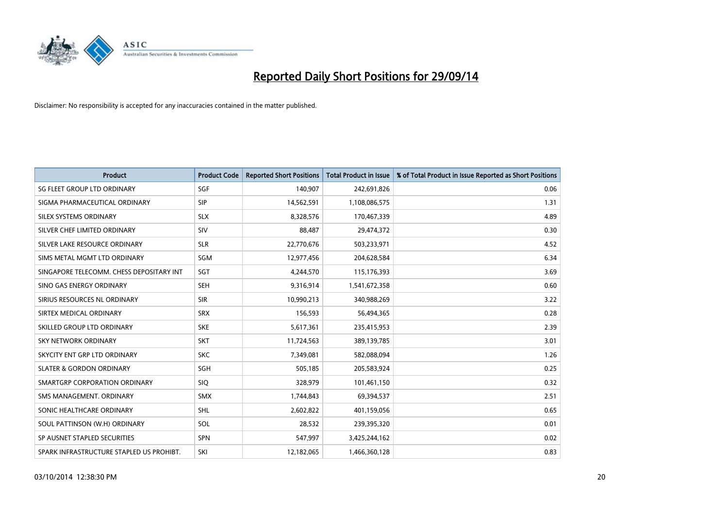

| <b>Product</b>                           | <b>Product Code</b> | <b>Reported Short Positions</b> | <b>Total Product in Issue</b> | % of Total Product in Issue Reported as Short Positions |
|------------------------------------------|---------------------|---------------------------------|-------------------------------|---------------------------------------------------------|
| SG FLEET GROUP LTD ORDINARY              | SGF                 | 140,907                         | 242,691,826                   | 0.06                                                    |
| SIGMA PHARMACEUTICAL ORDINARY            | <b>SIP</b>          | 14,562,591                      | 1,108,086,575                 | 1.31                                                    |
| SILEX SYSTEMS ORDINARY                   | <b>SLX</b>          | 8,328,576                       | 170,467,339                   | 4.89                                                    |
| SILVER CHEF LIMITED ORDINARY             | SIV                 | 88,487                          | 29,474,372                    | 0.30                                                    |
| SILVER LAKE RESOURCE ORDINARY            | <b>SLR</b>          | 22,770,676                      | 503,233,971                   | 4.52                                                    |
| SIMS METAL MGMT LTD ORDINARY             | SGM                 | 12,977,456                      | 204,628,584                   | 6.34                                                    |
| SINGAPORE TELECOMM. CHESS DEPOSITARY INT | SGT                 | 4,244,570                       | 115,176,393                   | 3.69                                                    |
| SINO GAS ENERGY ORDINARY                 | <b>SEH</b>          | 9,316,914                       | 1,541,672,358                 | 0.60                                                    |
| SIRIUS RESOURCES NL ORDINARY             | <b>SIR</b>          | 10,990,213                      | 340,988,269                   | 3.22                                                    |
| SIRTEX MEDICAL ORDINARY                  | <b>SRX</b>          | 156,593                         | 56,494,365                    | 0.28                                                    |
| SKILLED GROUP LTD ORDINARY               | <b>SKE</b>          | 5,617,361                       | 235,415,953                   | 2.39                                                    |
| <b>SKY NETWORK ORDINARY</b>              | <b>SKT</b>          | 11,724,563                      | 389,139,785                   | 3.01                                                    |
| SKYCITY ENT GRP LTD ORDINARY             | <b>SKC</b>          | 7,349,081                       | 582,088,094                   | 1.26                                                    |
| <b>SLATER &amp; GORDON ORDINARY</b>      | SGH                 | 505,185                         | 205,583,924                   | 0.25                                                    |
| SMARTGRP CORPORATION ORDINARY            | <b>SIQ</b>          | 328,979                         | 101,461,150                   | 0.32                                                    |
| SMS MANAGEMENT, ORDINARY                 | <b>SMX</b>          | 1,744,843                       | 69,394,537                    | 2.51                                                    |
| SONIC HEALTHCARE ORDINARY                | <b>SHL</b>          | 2,602,822                       | 401,159,056                   | 0.65                                                    |
| SOUL PATTINSON (W.H) ORDINARY            | SOL                 | 28,532                          | 239,395,320                   | 0.01                                                    |
| SP AUSNET STAPLED SECURITIES             | <b>SPN</b>          | 547,997                         | 3,425,244,162                 | 0.02                                                    |
| SPARK INFRASTRUCTURE STAPLED US PROHIBT. | SKI                 | 12,182,065                      | 1,466,360,128                 | 0.83                                                    |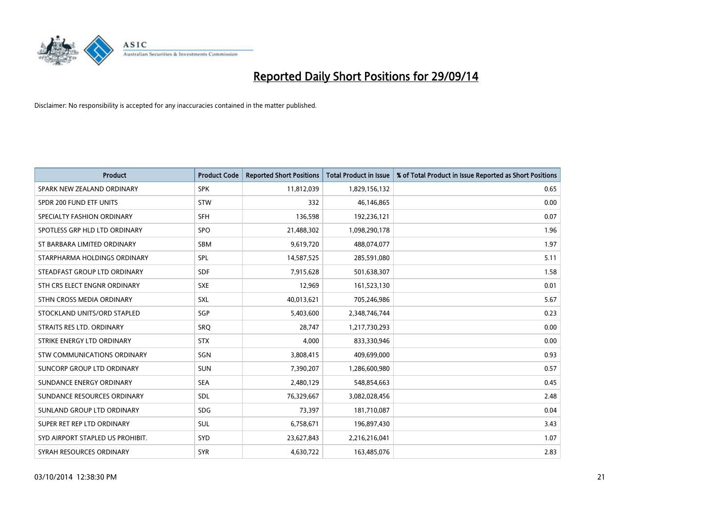

| <b>Product</b>                   | <b>Product Code</b> | <b>Reported Short Positions</b> | <b>Total Product in Issue</b> | % of Total Product in Issue Reported as Short Positions |
|----------------------------------|---------------------|---------------------------------|-------------------------------|---------------------------------------------------------|
| SPARK NEW ZEALAND ORDINARY       | <b>SPK</b>          | 11,812,039                      | 1,829,156,132                 | 0.65                                                    |
| SPDR 200 FUND ETF UNITS          | <b>STW</b>          | 332                             | 46,146,865                    | 0.00                                                    |
| SPECIALTY FASHION ORDINARY       | <b>SFH</b>          | 136,598                         | 192,236,121                   | 0.07                                                    |
| SPOTLESS GRP HLD LTD ORDINARY    | <b>SPO</b>          | 21,488,302                      | 1,098,290,178                 | 1.96                                                    |
| ST BARBARA LIMITED ORDINARY      | <b>SBM</b>          | 9,619,720                       | 488,074,077                   | 1.97                                                    |
| STARPHARMA HOLDINGS ORDINARY     | <b>SPL</b>          | 14,587,525                      | 285,591,080                   | 5.11                                                    |
| STEADFAST GROUP LTD ORDINARY     | <b>SDF</b>          | 7,915,628                       | 501,638,307                   | 1.58                                                    |
| STH CRS ELECT ENGNR ORDINARY     | <b>SXE</b>          | 12,969                          | 161,523,130                   | 0.01                                                    |
| STHN CROSS MEDIA ORDINARY        | <b>SXL</b>          | 40,013,621                      | 705,246,986                   | 5.67                                                    |
| STOCKLAND UNITS/ORD STAPLED      | SGP                 | 5,403,600                       | 2,348,746,744                 | 0.23                                                    |
| STRAITS RES LTD. ORDINARY        | SRQ                 | 28,747                          | 1,217,730,293                 | 0.00                                                    |
| STRIKE ENERGY LTD ORDINARY       | <b>STX</b>          | 4,000                           | 833,330,946                   | 0.00                                                    |
| STW COMMUNICATIONS ORDINARY      | SGN                 | 3,808,415                       | 409,699,000                   | 0.93                                                    |
| SUNCORP GROUP LTD ORDINARY       | <b>SUN</b>          | 7,390,207                       | 1,286,600,980                 | 0.57                                                    |
| SUNDANCE ENERGY ORDINARY         | <b>SEA</b>          | 2,480,129                       | 548,854,663                   | 0.45                                                    |
| SUNDANCE RESOURCES ORDINARY      | <b>SDL</b>          | 76,329,667                      | 3,082,028,456                 | 2.48                                                    |
| SUNLAND GROUP LTD ORDINARY       | <b>SDG</b>          | 73,397                          | 181,710,087                   | 0.04                                                    |
| SUPER RET REP LTD ORDINARY       | <b>SUL</b>          | 6,758,671                       | 196,897,430                   | 3.43                                                    |
| SYD AIRPORT STAPLED US PROHIBIT. | SYD                 | 23,627,843                      | 2,216,216,041                 | 1.07                                                    |
| SYRAH RESOURCES ORDINARY         | <b>SYR</b>          | 4,630,722                       | 163,485,076                   | 2.83                                                    |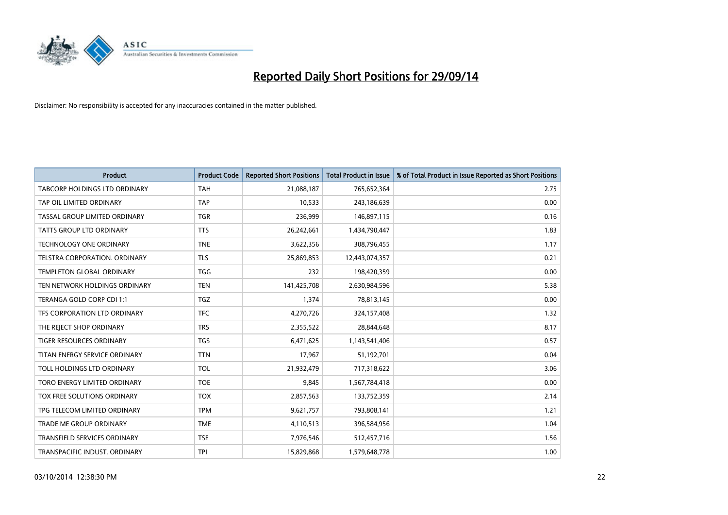

| <b>Product</b>                      | <b>Product Code</b> | <b>Reported Short Positions</b> | <b>Total Product in Issue</b> | % of Total Product in Issue Reported as Short Positions |
|-------------------------------------|---------------------|---------------------------------|-------------------------------|---------------------------------------------------------|
| TABCORP HOLDINGS LTD ORDINARY       | <b>TAH</b>          | 21,088,187                      | 765,652,364                   | 2.75                                                    |
| TAP OIL LIMITED ORDINARY            | <b>TAP</b>          | 10,533                          | 243,186,639                   | 0.00                                                    |
| TASSAL GROUP LIMITED ORDINARY       | <b>TGR</b>          | 236,999                         | 146,897,115                   | 0.16                                                    |
| TATTS GROUP LTD ORDINARY            | <b>TTS</b>          | 26,242,661                      | 1,434,790,447                 | 1.83                                                    |
| <b>TECHNOLOGY ONE ORDINARY</b>      | <b>TNE</b>          | 3,622,356                       | 308,796,455                   | 1.17                                                    |
| TELSTRA CORPORATION, ORDINARY       | <b>TLS</b>          | 25,869,853                      | 12,443,074,357                | 0.21                                                    |
| <b>TEMPLETON GLOBAL ORDINARY</b>    | <b>TGG</b>          | 232                             | 198,420,359                   | 0.00                                                    |
| TEN NETWORK HOLDINGS ORDINARY       | <b>TEN</b>          | 141,425,708                     | 2,630,984,596                 | 5.38                                                    |
| TERANGA GOLD CORP CDI 1:1           | <b>TGZ</b>          | 1,374                           | 78,813,145                    | 0.00                                                    |
| TFS CORPORATION LTD ORDINARY        | <b>TFC</b>          | 4,270,726                       | 324,157,408                   | 1.32                                                    |
| THE REJECT SHOP ORDINARY            | <b>TRS</b>          | 2,355,522                       | 28,844,648                    | 8.17                                                    |
| <b>TIGER RESOURCES ORDINARY</b>     | <b>TGS</b>          | 6,471,625                       | 1,143,541,406                 | 0.57                                                    |
| TITAN ENERGY SERVICE ORDINARY       | <b>TTN</b>          | 17,967                          | 51,192,701                    | 0.04                                                    |
| TOLL HOLDINGS LTD ORDINARY          | <b>TOL</b>          | 21,932,479                      | 717,318,622                   | 3.06                                                    |
| TORO ENERGY LIMITED ORDINARY        | <b>TOE</b>          | 9,845                           | 1,567,784,418                 | 0.00                                                    |
| TOX FREE SOLUTIONS ORDINARY         | <b>TOX</b>          | 2,857,563                       | 133,752,359                   | 2.14                                                    |
| TPG TELECOM LIMITED ORDINARY        | <b>TPM</b>          | 9,621,757                       | 793,808,141                   | 1.21                                                    |
| TRADE ME GROUP ORDINARY             | <b>TME</b>          | 4,110,513                       | 396,584,956                   | 1.04                                                    |
| <b>TRANSFIELD SERVICES ORDINARY</b> | <b>TSE</b>          | 7,976,546                       | 512,457,716                   | 1.56                                                    |
| TRANSPACIFIC INDUST. ORDINARY       | <b>TPI</b>          | 15,829,868                      | 1,579,648,778                 | 1.00                                                    |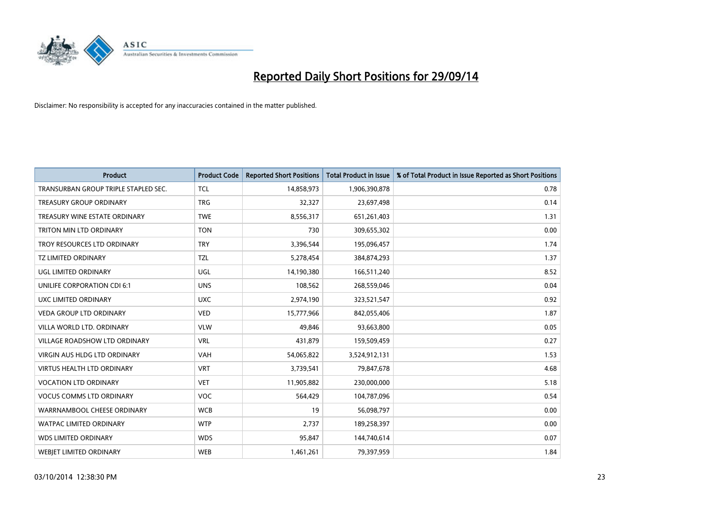

| <b>Product</b>                       | <b>Product Code</b> | <b>Reported Short Positions</b> | <b>Total Product in Issue</b> | % of Total Product in Issue Reported as Short Positions |
|--------------------------------------|---------------------|---------------------------------|-------------------------------|---------------------------------------------------------|
| TRANSURBAN GROUP TRIPLE STAPLED SEC. | <b>TCL</b>          | 14,858,973                      | 1,906,390,878                 | 0.78                                                    |
| TREASURY GROUP ORDINARY              | <b>TRG</b>          | 32,327                          | 23,697,498                    | 0.14                                                    |
| TREASURY WINE ESTATE ORDINARY        | <b>TWE</b>          | 8,556,317                       | 651,261,403                   | 1.31                                                    |
| TRITON MIN LTD ORDINARY              | <b>TON</b>          | 730                             | 309,655,302                   | 0.00                                                    |
| TROY RESOURCES LTD ORDINARY          | <b>TRY</b>          | 3,396,544                       | 195,096,457                   | 1.74                                                    |
| <b>TZ LIMITED ORDINARY</b>           | <b>TZL</b>          | 5,278,454                       | 384,874,293                   | 1.37                                                    |
| UGL LIMITED ORDINARY                 | UGL                 | 14,190,380                      | 166,511,240                   | 8.52                                                    |
| UNILIFE CORPORATION CDI 6:1          | <b>UNS</b>          | 108,562                         | 268,559,046                   | 0.04                                                    |
| <b>UXC LIMITED ORDINARY</b>          | <b>UXC</b>          | 2,974,190                       | 323,521,547                   | 0.92                                                    |
| <b>VEDA GROUP LTD ORDINARY</b>       | <b>VED</b>          | 15,777,966                      | 842,055,406                   | 1.87                                                    |
| VILLA WORLD LTD. ORDINARY            | <b>VLW</b>          | 49,846                          | 93,663,800                    | 0.05                                                    |
| <b>VILLAGE ROADSHOW LTD ORDINARY</b> | <b>VRL</b>          | 431,879                         | 159,509,459                   | 0.27                                                    |
| VIRGIN AUS HLDG LTD ORDINARY         | <b>VAH</b>          | 54,065,822                      | 3,524,912,131                 | 1.53                                                    |
| <b>VIRTUS HEALTH LTD ORDINARY</b>    | <b>VRT</b>          | 3,739,541                       | 79,847,678                    | 4.68                                                    |
| <b>VOCATION LTD ORDINARY</b>         | <b>VET</b>          | 11,905,882                      | 230,000,000                   | 5.18                                                    |
| <b>VOCUS COMMS LTD ORDINARY</b>      | <b>VOC</b>          | 564,429                         | 104,787,096                   | 0.54                                                    |
| WARRNAMBOOL CHEESE ORDINARY          | <b>WCB</b>          | 19                              | 56,098,797                    | 0.00                                                    |
| WATPAC LIMITED ORDINARY              | <b>WTP</b>          | 2,737                           | 189,258,397                   | 0.00                                                    |
| <b>WDS LIMITED ORDINARY</b>          | <b>WDS</b>          | 95,847                          | 144,740,614                   | 0.07                                                    |
| <b>WEBJET LIMITED ORDINARY</b>       | <b>WEB</b>          | 1,461,261                       | 79,397,959                    | 1.84                                                    |